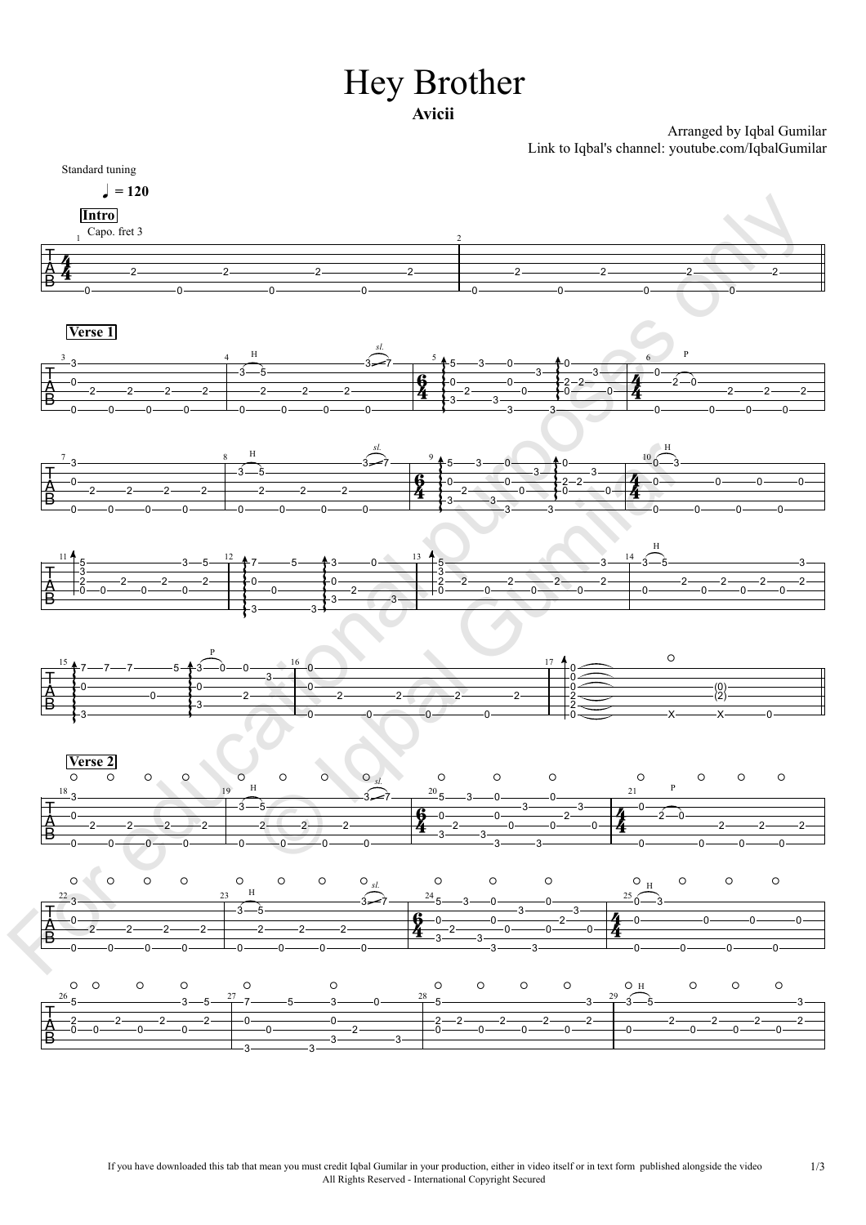## Hey Brother **Avicii**

Arranged by Iqbal Gumilar

Link to Iqbal's channel: youtube.com/IqbalGumilar Standard tuning  $= 120$  0 ———————————————————— 2 0 ———————————————————— 2 0 ————————————————————  $-2$   $-2$ 0 2 0 2 0 2  $0 \longrightarrow 0$ 2<sup>-2</sup>  $\overline{0}$   $\overline{\phantom{0}}$ 2 —  $\longrightarrow$ **Intro**<br>Capo. fret 3  $\frac{1}{2}$  Capo. fret 3  $\frac{1}{\text{A}}$  0 2 2 2 2 2 0 3 ——————— 2 0 2 0 2 0 2<del> | </del>2<del> </del> 0 3—5—<del>————</del> 2 5 0 2<del> — 2 — 2</del> 0 2  $\longrightarrow$   $\leftarrow$  $\overline{\phantom{a}}$ 3 7  $\begin{array}{|c|c|c|c|}\n\hline\n0 & 0 & 3 & 2-2 & 3 \\
\hline\n3 & 2 & 3 & 0 & 0 & 0\n\end{array}$  $5 - 3 - 0$  $0 \longrightarrow 0 \longrightarrow$  $3 \longrightarrow 3 \longrightarrow$  $\longleftarrow$  3 — — 3  $\uparrow$  5 3 0  $\uparrow$  0 2  $3 - 0 - 10$  $3 \rightarrow \rightarrow \rightarrow$  $3 \longrightarrow 3$  $0 \longrightarrow 0 \longrightarrow$ 0  $0 \longrightarrow 0 \longrightarrow 0$  $3 \rightarrow 3 \rightarrow$  $3$  and  $\overline{\phantom{a}3}$  $0 \longrightarrow 0$  $0 \longrightarrow 0$   $\longleftarrow$ 2  $\sim$   $\sim$   $\sim$  $\begin{array}{c|c|c|c|c|c|c} \hline \multicolumn{3}{c|}{\multicolumn{3}{c|}{\multicolumn{3}{c}}}{\multicolumn{3}{c|}{\multicolumn{3}{c}}}{\multicolumn{3}{c|}{\multicolumn{3}{c}}}{\hline} \multicolumn{3}{c|}{\multicolumn{3}{c|}{\multicolumn{3}{c}}}{\hline} \multicolumn{3}{c|}{\hline} \multicolumn{3}{c|}{\hline} \multicolumn{3}{c|}{\hline} \multicolumn{3}{c|}{\hline} \multicolumn{3}{c|}{\hline} \multicolumn{3}{c|}{\hline} \multicolumn{3$ 2  $3 \rightarrow 0 \rightarrow$ 0  $\frac{4}{2}$   $\frac{0}{2}$   $\frac{0}{2}$   $\frac{0}{2}$   $\frac{0}{2}$   $\frac{0}{2}$   $\frac{0}{2}$   $\frac{0}{2}$ 0  $2 - 0$  and  $\overline{\phantom{a}2 - 0}$ 0 2 2  $0 \longrightarrow 0 \longrightarrow$  $0 \longrightarrow$  $2 \rightarrow$ **Verse 1**  $H$   $\sim$  5. *sl.*  $\frac{3}{2}$   $\frac{4}{5}$   $\frac{5}{2}$   $\frac{5}{1}$   $\frac{6}{1}$   $\frac{1}{2}$  $\frac{1}{\text{A}}$  0 2 2 2 2 2 0 3 ——————— 2 0 2 0 2 0 2 0 3—5———— 2 5 0 2<del> — 2 — 2</del> 0 2  $\circ$   $\overline{\phantom{a}}$ 3 7  $\begin{array}{|c|c|c|c|}\n\hline\n6 & 0 & 0 & 3 & 2-2 & 3 \\
\hline\n4 & 3 & 2 & 3 & 0 & 0 & 0\n\end{array}$  $5 - 3 - 0$  $0 \longrightarrow 0$  $3 \longrightarrow 3 \longrightarrow$  $\sim$  3  $\sim$  $+5$  3 0  $+0$ 2 —  $-$  0  $3 \rightarrow 0$   $\rightarrow 0$  $3 \rightarrow \rightarrow \rightarrow$  $3 \longrightarrow 3 \longrightarrow$  $0 \longrightarrow 0$  $0 \rightarrow 2-2$  $0 \longrightarrow 0 \longrightarrow 0$  $3 \rightarrow 3 \rightarrow$ 3<del>\_\_\_\_\_\_\_\_\_\_\_\_\_\_\_\_\_\_</del>  $0 \longrightarrow 0$  $0 \longrightarrow 0$   $\longleftarrow$   $\longleftarrow$  $2 - 2 - 4 - 0$  $\sim$   $\sim$   $\sim$  $\uparrow$  0 -  $\qquad \qquad$  0 - 3 -  $\qquad \qquad$  $2 - 4 - 0 3 - \frac{1}{\sqrt{2}}$  $0 - 4$  $\frac{1}{2}$  0 0 0 0 0 0 0 0  $0 \longrightarrow 0 \longrightarrow$ 3—**———————** 0 0  $0 \longrightarrow 0 \longrightarrow$  $0 \longrightarrow 0 \longrightarrow$  $0 \longrightarrow$  $\frac{10}{5}$   $\frac{3}{5}$   $\frac{3}{5}$   $\frac{9}{5}$   $\frac{5}{6}$   $\frac{3}{10}$   $\frac{0}{3}$   $\frac{10}{2}$   $\frac{3}{4}$   $\frac{10}{2}$   $\frac{3}{4}$   $\frac{10}{2}$   $\frac{3}{4}$   $\frac{10}{2}$   $\frac{3}{4}$   $\frac{10}{2}$   $\frac{3}{4}$   $\frac{10}{2}$   $\frac{3}{4}$   $\frac{10}{2}$   $\frac{3}{4}$   $\$ *sl.* H  $\frac{7}{2}$  8  $\frac{8}{2}$   $\frac{9}{2}$   $\frac{9}{2}$   $\frac{10}{2}$  $\frac{1}{\beta}$   $\frac{2}{0}$   $\frac{2}{0}$   $\frac{2}{0}$   $\frac{2}{0}$   $\frac{2}{0}$ 5 ———————— 2———2————2— 0 3————————  $\frac{1}{2}$ 0 2<del>. 2. 2.</del> 2-0 2<del> 2 1</del>0 0  $3 - 5 - 7$   $7 - 5$ 2<del>  $+$   $\rightarrow$ </del> 0 7———5—<del>——†</del>3—  $0 \longrightarrow 0$  $+3$  3  $+$  $+7$  5  $+3$  0  $13$ 0  $-$  2  $-$ 5—<del>—†</del>3———0—  $3 - \longrightarrow$  $3 \rightarrow 0 \rightarrow 7$  $3 \overline{\qquad \qquad } 3$  $\overline{\phantom{a}}$  $\overline{\phantom{a}}$  $\uparrow$  3 0  $\frac{13}{12}$  5  $2 \rightarrow 0$  $0 \rightarrow 5$ 3 5 2-2-2-0 3  $\frac{1}{2}$ 2  $0 \longrightarrow 0 \longrightarrow 0$ 2  $0 \longrightarrow 0 \longrightarrow$ 2  $-$  2  $-$ 0  $3 - 3 - 5$  -2<del> 2</del>-3—5—<del>————</del> 0 5  $\frac{2}{0}$   $\frac{2}{0}$ 0  $\frac{-2}{-0}$   $\frac{-2}{-2}$  $0 \longrightarrow 0 \longrightarrow$ 2  $-$  2  $\overline{0}$   $\overline{\phantom{0}}$  $3 \rightarrow$  $\frac{11}{2}$  3  $11$   $1.2$   $1.3$   $1.4$   $1.3$   $1.4$   $1.4$   $1.4$   $1.4$   $1.4$   $1.4$   $1.4$   $1.4$   $1.4$   $1.4$   $1.4$   $1.4$   $1.4$   $1.4$   $1.4$   $1.4$   $1.4$   $1.4$   $1.4$   $1.4$   $1.4$   $1.4$   $1.4$   $1.4$   $1.4$   $1.4$   $1.4$   $1.4$   $1.4$   $1.4$   $1.4$   $1.4$   $\begin{array}{c|c|c|c|c} & & & & & & & \\ \hline A & & 0 & & & & & \\ \hline D & & & & & & & \\ \hline \end{array}$ 7—7—7——! 3  $0 \longrightarrow$  $\mathcal{L}$  $+$ 7—7—7————5— $+$ 3—0—0———— 7—7———5<del>—1</del>3—1 0  $5 - 3 - 0 - 0$ 3  $0 \longrightarrow$  $\overline{\phantom{a}}$  $\uparrow$ 3 — 0 — 0 — 1<sup>6</sup> 0 — 0 — 16  $0$   $\longrightarrow$   $0$   $\longrightarrow$   $0$   $\longrightarrow$ 2 3  $0 \longrightarrow 0 \longrightarrow$  $0 \longrightarrow$ 0<sup>-</sup> 2  $0 \longrightarrow 0$ 2  $-$  2  $0 \longrightarrow 0 \longrightarrow$ 2<del> </del>2  $0 \longrightarrow 0$ 2<del> | |</del>2── 0 0 0 2 <del>\_\_\_\_\_\_\_\_\_\_\_\_\_</del> 2<del> \_\_\_\_\_\_\_\_\_\_\_\_\_</del> 0  $\overbrace{ }^{\bullet}$ х———х———о— (0) (2)  $x \longrightarrow 0$  $\circ$ P<sub>2</sub><sup>2</sup></sup>  $15$   $\uparrow$   $\uparrow$   $\uparrow$   $\uparrow$   $\uparrow$   $\uparrow$   $\uparrow$   $\uparrow$   $\uparrow$   $\uparrow$   $\uparrow$   $\uparrow$   $\uparrow$   $\uparrow$   $\uparrow$   $\uparrow$   $\uparrow$   $\uparrow$   $\uparrow$   $\uparrow$   $\uparrow$   $\uparrow$   $\uparrow$   $\uparrow$   $\uparrow$   $\uparrow$   $\uparrow$   $\uparrow$   $\uparrow$   $\uparrow$   $\uparrow$   $\uparrow$   $\uparrow$   $\uparrow$   $\uparrow$   $\uparrow$   $\frac{1}{\sqrt{2}}$  0 2 2 2 2 0 3 2——2——2— 0 2<del>-2-2-</del> 0 2  $0 \longrightarrow 0 \longrightarrow$ 2 0  $3 - 5$ 2<del> — 2 — 2</del>–  $5 -$ 0 2<del> — 2 — 2</del> 0 2 0  $\frac{20}{-5}$  5—3—0——  $0 \longrightarrow 0 \longrightarrow$ 3<del> — 3 — 3</del> 2 —  $-$  0 —  $-$ 3  $3 \frac{1}{2}$ 3<del> — 3 — —</del> 0  $0 \longrightarrow 2 \longrightarrow$ 0 3<del> — 3 — 1</del> 3————————  $0 \longrightarrow \qquad \qquad$ 0  $-$  0  $4$   $-$ 2  $3 \rightarrow 0 \rightarrow$ 0  $\frac{4}{2}$ 0 ————————0  $2 - 0$  and  $\overline{\phantom{a}}$ 0 2<del>--------------</del>-2--- $0 \longrightarrow 0 \longrightarrow 1$ 2  $-$  2  $-$  1  $0 \longrightarrow$  $2 \rightarrow$ **<u>Verse 2</u>**  $\overline{O}$   $\overline{O}$   $\overline{O}$   $\overline{O}$   $\overline{O}$   $\overline{O}$   $\overline{O}$   $\overline{O}$   $\overline{O}$   $\overline{O}$   $\overline{O}$   $\overline{O}$   $\overline{O}$   $\overline{O}$   $\overline{O}$   $\overline{O}$   $\overline{O}$   $\overline{O}$   $\overline{O}$   $\overline{O}$   $\overline{O}$   $\overline{O}$   $\overline{O}$   $\overline{O}$   $\overline{$ H  $_{20}$   $_{20}$   $_{21}$  P *sl.*  $18 \text{ m}$   $19 \text{ m}$   $20 \text{ m}$   $20 \text{ m}$   $20 \text{ m}$   $21 \text{ m}$  $\frac{1}{\sqrt{2}}$  0 2 2 2 2 2 0——0——0— 3 2——2——2— 0 2——2——2— 0 2 0 2<del> </del>2—— 0 3—5———— 2 5 0 2 0 2  $-$ 0 3<del>-</del> 7<sup>-</sup> 5<sup>-</sup> 5<sup>-</sup> 3 5——3——0——— 0 3 2 3<del>-0-</del>0-3 3 0 0 0 3<del> — 3 —</del> 3  $0 \longrightarrow 0$  $0 \longrightarrow 0$   $\longleftarrow$   $\blacksquare$ 2——14—0—  $3 \rightarrow \bullet$ 0  $\frac{1}{2}$  0 0 0 0 0 0 0 0<del>-----------------</del>0 0-3-0 3 0 0 0  $0 \longrightarrow 0$  $0 \longrightarrow$  $0 \longrightarrow$  H *sl.* H  $22$  23  $^{\rm n}$  24 24 0 0 25  $^{\rm n}$  5 2 0—0———0———0 2—<sub>—</sub>—2———2 0 2-2-1-0-0  $3 - 5 - 7 - 5$ 2  $-$  0  $-$ 7———5———3- $0$  —  $0$  – 3——————3—— 0 — $-$  —  $-$  2 –  $5$ ——— $3$ ———— $0$ 3  $3 \rightarrow 0 \rightarrow 3$ 3<del> — 3 —</del>  $\overline{0}$   $\overline{0}$   $\overline{0}$   $\overline{0}$   $\overline{0}$   $\overline{0}$   $\overline{0}$   $\overline{0}$   $\overline{0}$   $\overline{0}$   $\overline{0}$   $\overline{0}$   $\overline{0}$   $\overline{0}$   $\overline{0}$   $\overline{0}$   $\overline{0}$   $\overline{0}$   $\overline{0}$   $\overline{0}$   $\overline{0}$   $\overline{0}$   $\overline{0}$   $\overline{0}$   $\overline{$ 2 —  $-$ 0 3<del>\_\_\_\_\_\_\_\_\_\_\_\_\_\_\_\_\_\_\_\_\_\_\_\_\_\_\_\_</del> 5 2-2-2-0  $2 - 2 - 2$ 0 2  $0 \longrightarrow 0 \longrightarrow$ 2  $-$  2  $0 \longrightarrow 0 \longrightarrow$ 3 2<del> </del>2-3—5—<del>————</del> 0 5 2— $-2$ — $-2$ 0  $2 - 2 - 2$  $0 \longrightarrow 0 \longrightarrow$ 2  $-$  2  $\overline{0}$   $\overline{\phantom{0}}$  $3 \rightarrow$  $2 \rightarrow$  <sup>H</sup>  $\frac{22}{7}$ <br> $\frac{1}{8}$ <br> $\frac{1}{2}$ <br> $\frac{1}{2}$ <br> $\frac{1}{2}$ <br> $\frac{1}{2}$ <br> $\frac{1}{2}$ <br> $\frac{1}{2}$ <br> $\frac{1}{2}$ <br> $\frac{1}{2}$ <br> $\frac{1}{2}$ <br> $\frac{1}{2}$ <br> $\frac{1}{2}$  $26$   $\epsilon$  27  $\epsilon$  28  $\epsilon$  28  $\epsilon$  29  $\epsilon$ educational purposes only © Iqbal Gumilar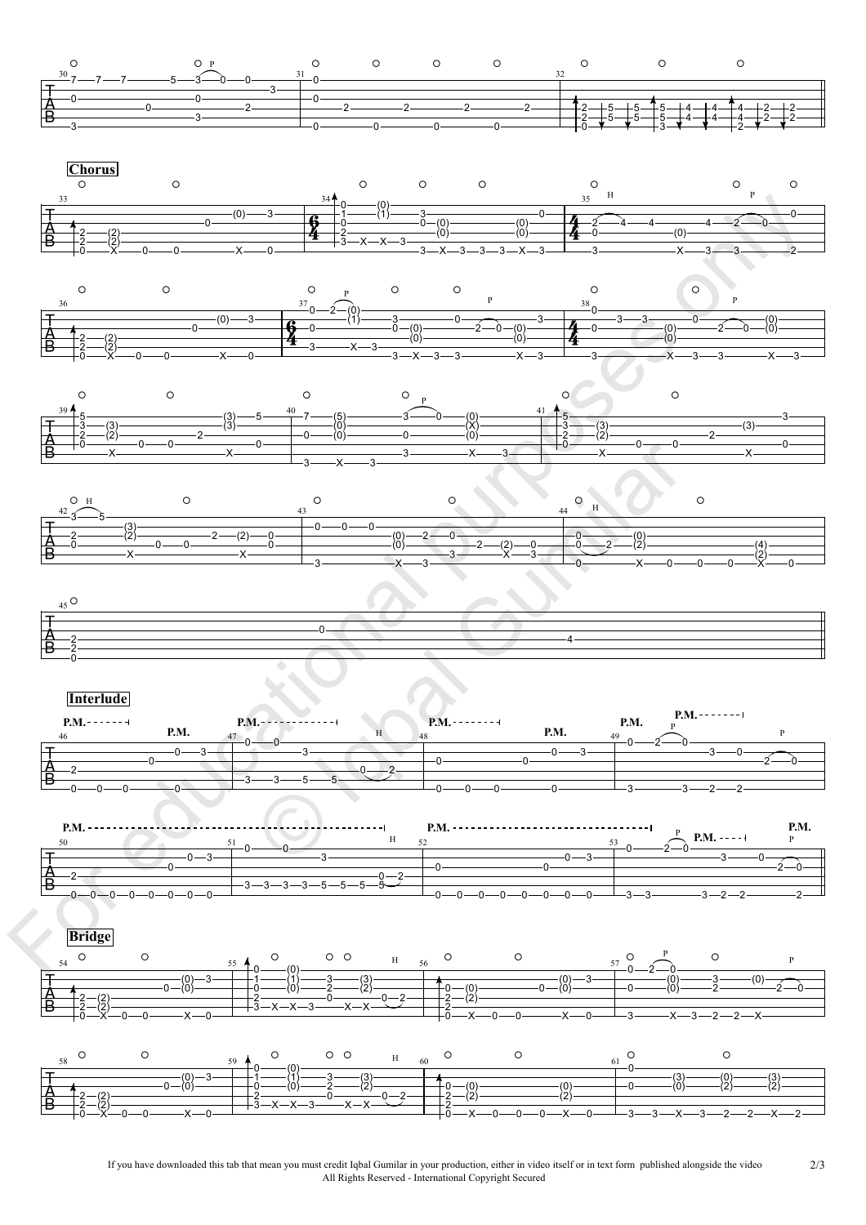